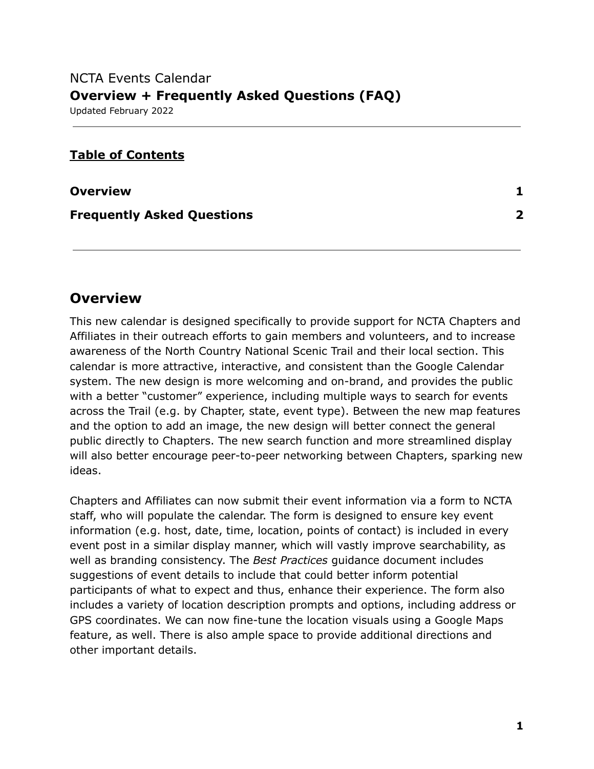# NCTA Events Calendar **Overview + Frequently Asked Questions (FAQ)** Updated February 2022

# **Table of Contents**

| <b>Overview</b>                   |              |
|-----------------------------------|--------------|
| <b>Frequently Asked Questions</b> | $\mathbf{2}$ |

# <span id="page-0-0"></span>**Overview**

This new calendar is designed specifically to provide support for NCTA Chapters and Affiliates in their outreach efforts to gain members and volunteers, and to increase awareness of the North Country National Scenic Trail and their local section. This calendar is more attractive, interactive, and consistent than the Google Calendar system. The new design is more welcoming and on-brand, and provides the public with a better "customer" experience, including multiple ways to search for events across the Trail (e.g. by Chapter, state, event type). Between the new map features and the option to add an image, the new design will better connect the general public directly to Chapters. The new search function and more streamlined display will also better encourage peer-to-peer networking between Chapters, sparking new ideas.

Chapters and Affiliates can now submit their event information via a form to NCTA staff, who will populate the calendar. The form is designed to ensure key event information (e.g. host, date, time, location, points of contact) is included in every event post in a similar display manner, which will vastly improve searchability, as well as branding consistency. The *Best Practices* guidance document includes suggestions of event details to include that could better inform potential participants of what to expect and thus, enhance their experience. The form also includes a variety of location description prompts and options, including address or GPS coordinates. We can now fine-tune the location visuals using a Google Maps feature, as well. There is also ample space to provide additional directions and other important details.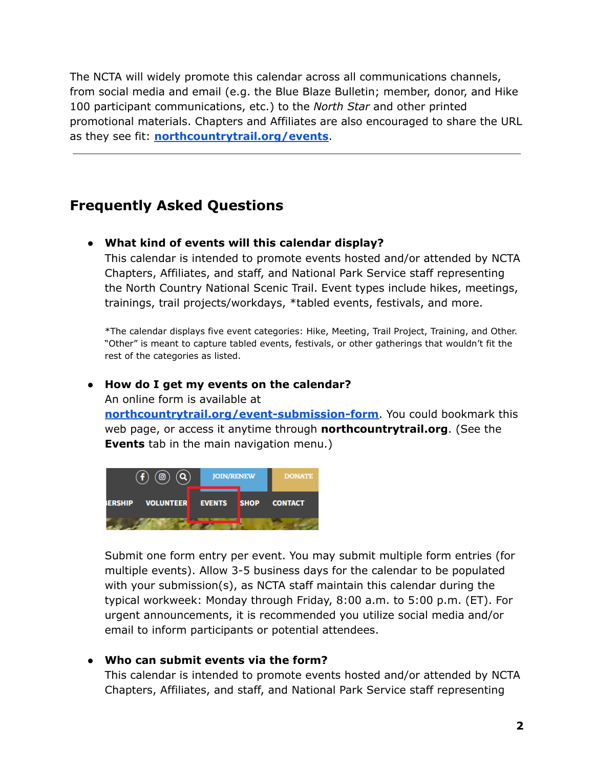The NCTA will widely promote this calendar across all communications channels, from social media and email (e.g. the Blue Blaze Bulletin; member, donor, and Hike 100 participant communications, etc.) to the *North Star* and other printed promotional materials. Chapters and Affiliates are also encouraged to share the URL as they see fit: **[northcountrytrail.org/events](https://northcountrytrail.org/events/)**.

# <span id="page-1-0"></span>**Frequently Asked Questions**

## **● What kind of events will this calendar display?**

This calendar is intended to promote events hosted and/or attended by NCTA Chapters, Affiliates, and staff, and National Park Service staff representing the North Country National Scenic Trail. Event types include hikes, meetings, trainings, trail projects/workdays, \*tabled events, festivals, and more.

\*The calendar displays five event categories: Hike, Meeting, Trail Project, Training, and Other. "Other" is meant to capture tabled events, festivals, or other gatherings that wouldn't fit the rest of the categories as listed.

#### **● How do I get my events on the calendar?**

An online form is available at

**[northcountrytrail.org/event-submission-form](https://northcountrytrail.org/event-submission-form/)**. You could bookmark this web page, or access it anytime through **northcountrytrail.org**. (See the **Events** tab in the main navigation menu.)



Submit one form entry per event. You may submit multiple form entries (for multiple events). Allow 3-5 business days for the calendar to be populated with your submission(s), as NCTA staff maintain this calendar during the typical workweek: Monday through Friday, 8:00 a.m. to 5:00 p.m. (ET). For urgent announcements, it is recommended you utilize social media and/or email to inform participants or potential attendees.

#### **● Who can submit events via the form?**

This calendar is intended to promote events hosted and/or attended by NCTA Chapters, Affiliates, and staff, and National Park Service staff representing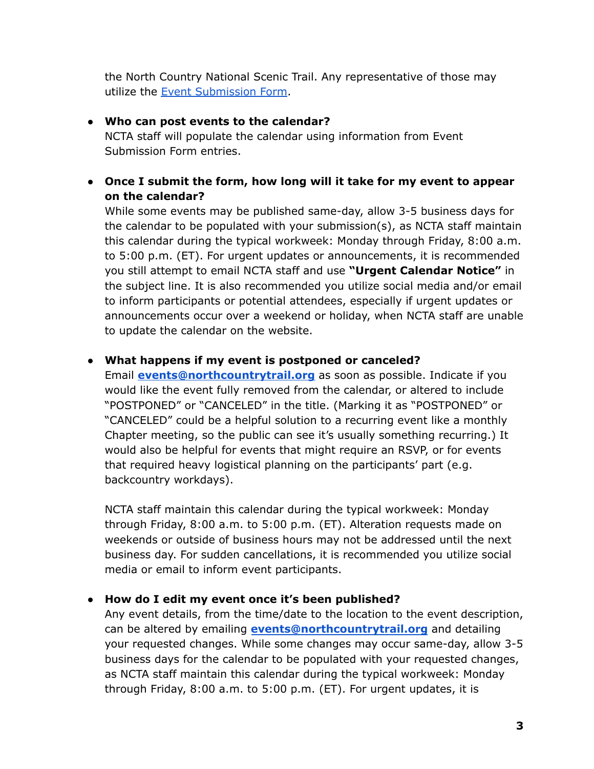the North Country National Scenic Trail. Any representative of those may utilize the Event [Submission](http://northcountrytrail.org/event-submission-form) Form.

## **● Who can post events to the calendar?**

NCTA staff will populate the calendar using information from Event Submission Form entries.

## **● Once I submit the form, how long will it take for my event to appear on the calendar?**

While some events may be published same-day, allow 3-5 business days for the calendar to be populated with your submission(s), as NCTA staff maintain this calendar during the typical workweek: Monday through Friday, 8:00 a.m. to 5:00 p.m. (ET). For urgent updates or announcements, it is recommended you still attempt to email NCTA staff and use **"Urgent Calendar Notice"** in the subject line. It is also recommended you utilize social media and/or email to inform participants or potential attendees, especially if urgent updates or announcements occur over a weekend or holiday, when NCTA staff are unable to update the calendar on the website.

## **● What happens if my event is postponed or canceled?**

Email **[events@northcountrytrail.org](mailto:events@northcountrytrail.org)** as soon as possible. Indicate if you would like the event fully removed from the calendar, or altered to include "POSTPONED" or "CANCELED" in the title. (Marking it as "POSTPONED" or "CANCELED" could be a helpful solution to a recurring event like a monthly Chapter meeting, so the public can see it's usually something recurring.) It would also be helpful for events that might require an RSVP, or for events that required heavy logistical planning on the participants' part (e.g. backcountry workdays).

NCTA staff maintain this calendar during the typical workweek: Monday through Friday, 8:00 a.m. to 5:00 p.m. (ET). Alteration requests made on weekends or outside of business hours may not be addressed until the next business day. For sudden cancellations, it is recommended you utilize social media or email to inform event participants.

#### **● How do I edit my event once it's been published?**

Any event details, from the time/date to the location to the event description, can be altered by emailing **[events@northcountrytrail.org](mailto:events@northcountrytrail.org)** and detailing your requested changes. While some changes may occur same-day, allow 3-5 business days for the calendar to be populated with your requested changes, as NCTA staff maintain this calendar during the typical workweek: Monday through Friday, 8:00 a.m. to 5:00 p.m. (ET). For urgent updates, it is